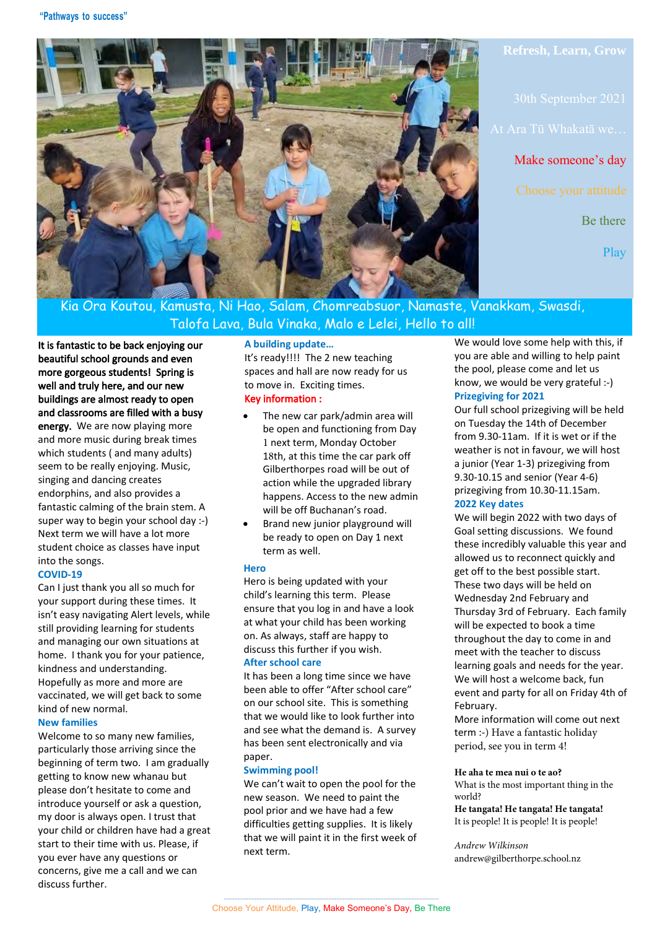

**Refresh, Learn, Grow**

Make someone's day

Be there

Play

Kia Ora Koutou, Kamusta, Ni Hao, Salam, Chomreabsuor, Namaste, Vanakkam, Swasdi, Talofa Lava, Bula Vinaka, Malo e Lelei, Hello to all!

It is fantastic to be back enjoying our beautiful school grounds and even more gorgeous students! Spring is well and truly here, and our new buildings are almost ready to open and classrooms are filled with a busy energy. We are now playing more and more music during break times which students ( and many adults) seem to be really enjoying. Music, singing and dancing creates endorphins, and also provides a fantastic calming of the brain stem. A super way to begin your school day :-) Next term we will have a lot more student choice as classes have input into the songs.

# **COVID-19**

Can I just thank you all so much for your support during these times. It isn't easy navigating Alert levels, while still providing learning for students and managing our own situations at home. I thank you for your patience, kindness and understanding. Hopefully as more and more are vaccinated, we will get back to some kind of new normal.

### **New families**

Welcome to so many new families, particularly those arriving since the beginning of term two. I am gradually getting to know new whanau but please don't hesitate to come and introduce yourself or ask a question, my door is always open. I trust that your child or children have had a great start to their time with us. Please, if you ever have any questions or concerns, give me a call and we can discuss further.

## **A building update…**

It's ready!!!! The 2 new teaching spaces and hall are now ready for us to move in. Exciting times. Key information :

- The new car park/admin area will be open and functioning from Day 1 next term, Monday October 18th, at this time the car park off Gilberthorpes road will be out of action while the upgraded library happens. Access to the new admin will be off Buchanan's road.
- Brand new junior playground will be ready to open on Day 1 next term as well.

#### **Hero**

Hero is being updated with your child's learning this term. Please ensure that you log in and have a look at what your child has been working on. As always, staff are happy to discuss this further if you wish. **After school care**

It has been a long time since we have been able to offer "After school care" on our school site. This is something that we would like to look further into and see what the demand is. A survey has been sent electronically and via paper.

#### **Swimming pool!**

We can't wait to open the pool for the new season. We need to paint the pool prior and we have had a few difficulties getting supplies. It is likely that we will paint it in the first week of next term.

We would love some help with this, if you are able and willing to help paint the pool, please come and let us know, we would be very grateful :-) **Prizegiving for 2021**

Our full school prizegiving will be held on Tuesday the 14th of December from 9.30-11am. If it is wet or if the weather is not in favour, we will host a junior (Year 1-3) prizegiving from 9.30-10.15 and senior (Year 4-6) prizegiving from 10.30-11.15am. **2022 Key dates**

We will begin 2022 with two days of Goal setting discussions. We found these incredibly valuable this year and allowed us to reconnect quickly and get off to the best possible start. These two days will be held on Wednesday 2nd February and Thursday 3rd of February. Each family will be expected to book a time throughout the day to come in and meet with the teacher to discuss learning goals and needs for the year. We will host a welcome back, fun event and party for all on Friday 4th of February.

More information will come out next term :-) Have a fantastic holiday period, see you in term 4!

#### **He aha te mea nui o te ao?**

What is the most important thing in the world?

**He tangata! He tangata! He tangata!** It is people! It is people! It is people!

*Andrew Wilkinson* andrew@gilberthorpe.school.nz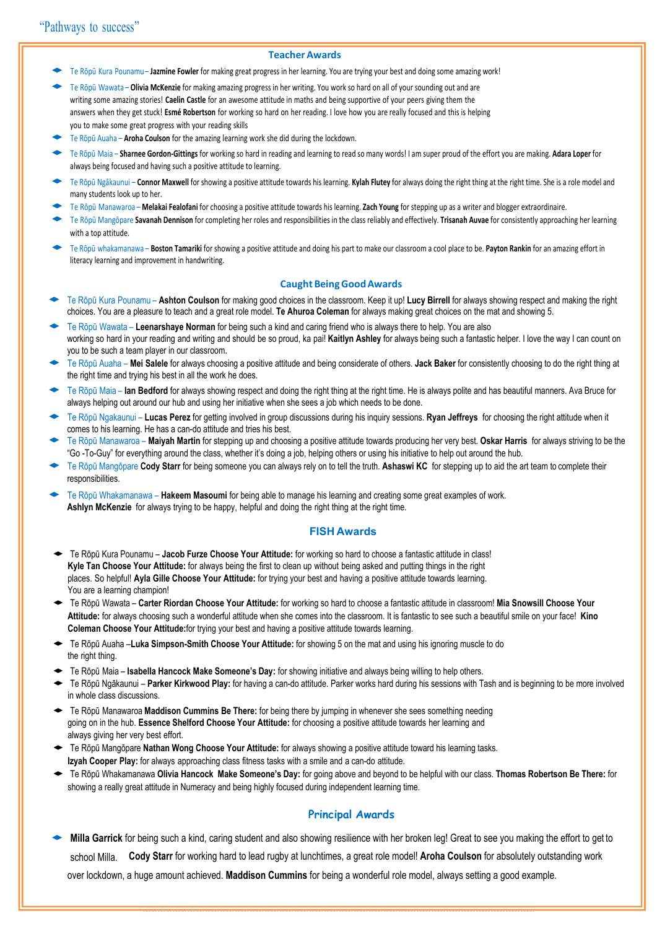#### **Teacher Awards**

- Te Rōpū Kura Pounamu **Jazmine Fowler for making great progress in her learning. You are trying your best and doing some amazing work!**
- Te Rōpū Wawata **Olivia McKenzie** for making amazing progress in her writing. You work so hard on all of your sounding out and are writing some amazing stories! **Caelin Castle** for an awesome attitude in maths and being supportive of your peers giving them the answers when they get stuck! **Esmé Robertson** for working so hard on her reading. I love how you are really focused and this is helping you to make some great progress with your reading skills
- Te Rōpū Auaha **Aroha Coulson** for the amazing learning work she did during the lockdown.
- ◆ Te Rōpū Maia **Sharnee Gordon-Gittings** for working so hard in reading and learning to read so many words! I am super proud of the effort you are making. **Adara Loper** for always being focused and having such a positive attitude to learning.
- Te Rōpū Ngākaunui **Connor Maxwell** for showing a positive attitude towards his learning. Kylah Flutey for always doing the right thing at the right time. She is a role model and many students look up to her.
- ◆ Te Rōpū Manawaroa **Melakai Fealofani** for choosing a positive attitude towards his learning. **Zach Young** for stepping up as a writer and blogger extraordinaire.
- ◆ Te Rōpū Mangōpare **Savanah Dennison** for completing her roles and responsibilities in the class reliably and effectively. **Trisanah Auvae** for consistently approaching her learning with a top attitude.
- Te Rōpū whakamanawa **Boston Tamariki** for showing a positive attitude and doing his part to make our classroom a cool place to be. Payton Rankin for an amazing effort in literacy learning and improvement in handwriting.

### **Caught Being Good Awards**

- ◆ Te Rōpū Kura Pounamu **Ashton Coulson** for making good choices in the classroom. Keep it up! **Lucy Birrell** for always showing respect and making the right choices. You are a pleasure to teach and a great role model. **Te Ahuroa Coleman** for always making great choices on the mat and showing 5.
- Te Rōpū Wawata Leenarshaye Norman for being such a kind and caring friend who is always there to help. You are also working so hard in your reading and writing and should be so proud, ka pai! **Kaitlyn Ashley** for always being such a fantastic helper. I love the way I can count on you to be such a team player in our classroom.
- ◆ Te Rōpū Auaha **Mei Salele** for always choosing a positive attitude and being considerate of others. **Jack Baker** for consistently choosing to do the right thing at the right time and trying his best in all the work he does.
- ◆ Te Rōpū Maia **Ian Bedford** for always showing respect and doing the right thing at the right time. He is always polite and has beautiful manners. Ava Bruce for always helping out around our hub and using her initiative when she sees a job which needs to be done.
- ◆ Te Rōpū Ngakaunui **Lucas Perez** for getting involved in group discussions during his inquiry sessions. **Ryan Jeffreys** for choosing the right attitude when it comes to his learning. He has a can-do attitude and tries his best.
- Te Rōpū Manawaroa Maiyah Martin for stepping up and choosing a positive attitude towards producing her very best. Oskar Harris for always striving to be the "Go -To-Guy" for everything around the class, whether it's doing a job, helping others or using his initiative to help out around the hub.
- Te Rōpū Mangōpare **Cody Starr** for being someone you can always rely on to tell the truth. **Ashaswi KC** for stepping up to aid the art team to complete their responsibilities.
- Te Rōpū Whakamanawa **Hakeem Masoumi** for being able to manage his learning and creating some great examples of work. **Ashlyn McKenzie** for always trying to be happy, helpful and doing the right thing at the right time.

#### **FISH Awards**

- ◆ Te Rōpū Kura Pounamu **Jacob Furze Choose Your Attitude:** for working so hard to choose a fantastic attitude in class! **Kyle Tan Choose Your Attitude:** for always being the first to clean up without being asked and putting things in the right places. So helpful! **Ayla Gille Choose Your Attitude:** for trying your best and having a positive attitude towards learning. You are a learning champion!
- ◆ Te Rōpū Wawata **Carter Riordan Choose Your Attitude:** for working so hard to choose a fantastic attitude in classroom! **Mia Snowsill Choose Your Attitude:** for always choosing such a wonderful attitude when she comes into the classroom. It is fantastic to see such a beautiful smile on your face! **Kino Coleman Choose Your Attitude:**for trying your best and having a positive attitude towards learning.
- ◆ Te Rōpū Auaha –**Luka Simpson-Smith Choose Your Attitude:** for showing 5 on the mat and using his ignoring muscle to do the right thing.
- ◆ Te Rōpū Maia **Isabella Hancock Make Someone's Day:** for showing initiative and always being willing to help others.
- Te Rōpū Ngākaunui Parker Kirkwood Play: for having a can-do attitude. Parker works hard during his sessions with Tash and is beginning to be more involved in whole class discussions.
- ◆ Te Rōpū Manawaroa **Maddison Cummins Be There:** for being there by jumping in whenever she sees something needing going on in the hub. **Essence Shelford Choose Your Attitude:** for choosing a positive attitude towards her learning and always giving her very best effort.
- ◆ Te Rōpū Mangōpare **Nathan Wong Choose Your Attitude:** for always showing a positive attitude toward his learning tasks. **Izyah Cooper Play:** for always approaching class fitness tasks with a smile and a can-do attitude.
- ◆ Te Rōpū Whakamanawa **Olivia Hancock Make Someone's Day:** for going above and beyond to be helpful with our class. **Thomas Robertson Be There:** for showing a really great attitude in Numeracy and being highly focused during independent learning time.

#### **Principal Awards**

Milla Garrick for being such a kind, caring student and also showing resilience with her broken leg! Great to see you making the effort to get to school Milla. **Cody Starr** for working hard to lead rugby at lunchtimes, a great role model! **Aroha Coulson** for absolutely outstanding work over lockdown, a huge amount achieved. **Maddison Cummins** for being a wonderful role model, always setting a good example.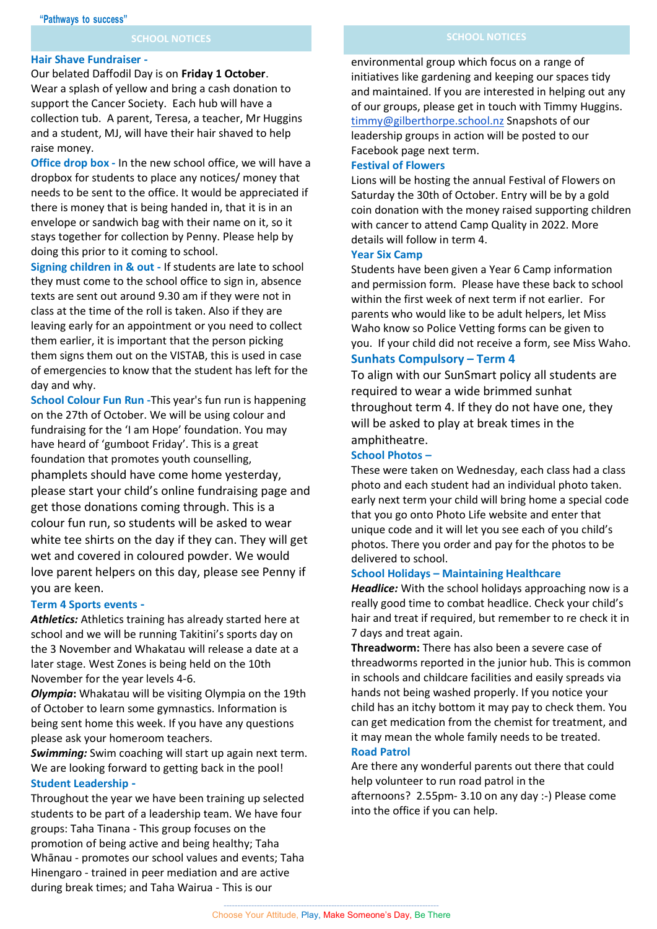#### **Hair Shave Fundraiser -**

Our belated Daffodil Day is on **Friday 1 October**. Wear a splash of yellow and bring a cash donation to support the Cancer Society. Each hub will have a collection tub. A parent, Teresa, a teacher, Mr Huggins and a student, MJ, will have their hair shaved to help raise money.

**Office drop box -** In the new school office, we will have a dropbox for students to place any notices/ money that needs to be sent to the office. It would be appreciated if there is money that is being handed in, that it is in an envelope or sandwich bag with their name on it, so it stays together for collection by Penny. Please help by doing this prior to it coming to school.

**Signing children in & out -** If students are late to school they must come to the school office to sign in, absence texts are sent out around 9.30 am if they were not in class at the time of the roll is taken. Also if they are leaving early for an appointment or you need to collect them earlier, it is important that the person picking them signs them out on the VISTAB, this is used in case of emergencies to know that the student has left for the day and why.

**School Colour Fun Run -**This year's fun run is happening on the 27th of October. We will be using colour and fundraising for the 'I am Hope' foundation. You may have heard of 'gumboot Friday'. This is a great foundation that promotes youth counselling, phamplets should have come home yesterday, please start your child's online fundraising page and get those donations coming through. This is a colour fun run, so students will be asked to wear white tee shirts on the day if they can. They will get wet and covered in coloured powder. We would love parent helpers on this day, please see Penny if you are keen.

#### **Term 4 Sports events -**

*Athletics:* Athletics training has already started here at school and we will be running Takitini's sports day on the 3 November and Whakatau will release a date at a later stage. West Zones is being held on the 10th November for the year levels 4-6.

*Olympia***:** Whakatau will be visiting Olympia on the 19th of October to learn some gymnastics. Information is being sent home this week. If you have any questions please ask your homeroom teachers.

*Swimming:* Swim coaching will start up again next term. We are looking forward to getting back in the pool! **Student Leadership -**

Throughout the year we have been training up selected students to be part of a leadership team. We have four groups: Taha Tinana - This group focuses on the promotion of being active and being healthy; Taha Whānau - promotes our school values and events; Taha Hinengaro - trained in peer mediation and are active during break times; and Taha Wairua - This is our

environmental group which focus on a range of initiatives like gardening and keeping our spaces tidy and maintained. If you are interested in helping out any of our groups, please get in touch with Timmy Huggins. [timmy@gilberthorpe.school.nz](mailto:timmy@gilberthorpe.school.nz) Snapshots of our leadership groups in action will be posted to our Facebook page next term.

### **Festival of Flowers**

Lions will be hosting the annual Festival of Flowers on Saturday the 30th of October. Entry will be by a gold coin donation with the money raised supporting children with cancer to attend Camp Quality in 2022. More details will follow in term 4.

### **Year Six Camp**

Students have been given a Year 6 Camp information and permission form. Please have these back to school within the first week of next term if not earlier. For parents who would like to be adult helpers, let Miss Waho know so Police Vetting forms can be given to you. If your child did not receive a form, see Miss Waho.

# **Sunhats Compulsory – Term 4**

To align with our SunSmart policy all students are required to wear a wide brimmed sunhat throughout term 4. If they do not have one, they will be asked to play at break times in the amphitheatre.

## **School Photos –**

These were taken on Wednesday, each class had a class photo and each student had an individual photo taken. early next term your child will bring home a special code that you go onto Photo Life website and enter that unique code and it will let you see each of you child's photos. There you order and pay for the photos to be delivered to school.

#### **School Holidays – Maintaining Healthcare**

*Headlice:* With the school holidays approaching now is a really good time to combat headlice. Check your child's hair and treat if required, but remember to re check it in 7 days and treat again.

**Threadworm:** There has also been a severe case of threadworms reported in the junior hub. This is common in schools and childcare facilities and easily spreads via hands not being washed properly. If you notice your child has an itchy bottom it may pay to check them. You can get medication from the chemist for treatment, and it may mean the whole family needs to be treated. **Road Patrol**

Are there any wonderful parents out there that could help volunteer to run road patrol in the afternoons? 2.55pm- 3.10 on any day :-) Please come into the office if you can help.